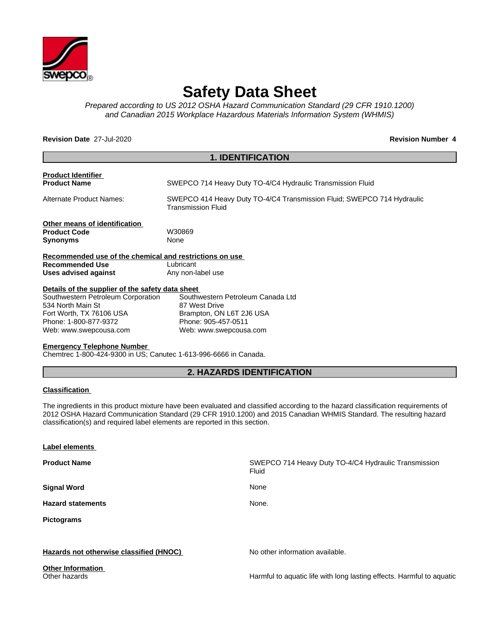

# **Safety Data Sheet**

*Prepared according to US 2012 OSHA Hazard Communication Standard (29 CFR 1910.1200) and Canadian 2015 Workplace Hazardous Materials Information System (WHMIS)*

**Revision Date** 27-Jul-2020 **Revision Number 4**

|                                                         | <b>1. IDENTIFICATION</b>                                                                     |
|---------------------------------------------------------|----------------------------------------------------------------------------------------------|
| <b>Product Identifier</b>                               |                                                                                              |
| <b>Product Name</b>                                     | SWEPCO 714 Heavy Duty TO-4/C4 Hydraulic Transmission Fluid                                   |
| Alternate Product Names:                                | SWEPCO 414 Heavy Duty TO-4/C4 Transmission Fluid; SWEPCO 714 Hydraulic<br>Transmission Fluid |
| Other means of identification                           |                                                                                              |
| <b>Product Code</b>                                     | W30869                                                                                       |
| <b>Synonyms</b>                                         | None                                                                                         |
| Recommended use of the chemical and restrictions on use |                                                                                              |
| <b>Recommended Use</b>                                  | Lubricant                                                                                    |
| Uses advised against                                    | Any non-label use                                                                            |
| Details of the supplier of the safety data sheet        |                                                                                              |
| Southwestern Petroleum Corporation                      | Southwestern Petroleum Canada Ltd                                                            |
| 534 North Main St                                       | 87 West Drive                                                                                |
| Fort Worth, TX 76106 USA                                | Brampton, ON L6T 2J6 USA                                                                     |
| Phone: 1-800-877-9372                                   | Phone: 905-457-0511                                                                          |
| Web: www.swepcousa.com                                  | Web: www.swepcousa.com                                                                       |
| <b>Emergency Telephone Number</b>                       |                                                                                              |
|                                                         |                                                                                              |

Chemtrec 1-800-424-9300 in US; Canutec 1-613-996-6666 in Canada.

# **2. HAZARDS IDENTIFICATION**

#### **Classification**

The ingredients in this product mixture have been evaluated and classified according to the hazard classification requirements of 2012 OSHA Hazard Communication Standard (29 CFR 1910.1200) and 2015 Canadian WHMIS Standard. The resulting hazard classification(s) and required label elements are reported in this section.

| Label elements                            |                                                                       |
|-------------------------------------------|-----------------------------------------------------------------------|
| <b>Product Name</b>                       | SWEPCO 714 Heavy Duty TO-4/C4 Hydraulic Transmission<br>Fluid         |
| <b>Signal Word</b>                        | None                                                                  |
| <b>Hazard statements</b>                  | None.                                                                 |
| Pictograms                                |                                                                       |
|                                           |                                                                       |
| Hazards not otherwise classified (HNOC)   | No other information available.                                       |
| <b>Other Information</b><br>Other hazards | Harmful to aquatic life with long lasting effects. Harmful to aquatic |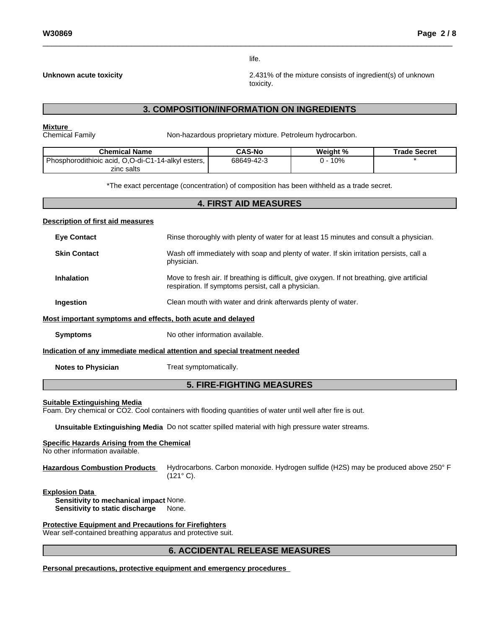life.

**Unknown acute toxicity** 2.431% of the mixture consists of ingredient(s) of unknown toxicity.

# **3. COMPOSITION/INFORMATION ON INGREDIENTS**

**Mixture**<br>Chemical Family

Non-hazardous proprietary mixture. Petroleum hydrocarbon.

| Chemical Name                                      | <b>CAS-No</b> | Weight % | Trade Secret |
|----------------------------------------------------|---------------|----------|--------------|
| Phosphorodithioic acid, O,O-di-C1-14-alkyl esters, | 68649-42-3    | 10%      |              |
| zinc salts                                         |               |          |              |

\*The exact percentage (concentration) of composition has been withheld as a trade secret.

#### **4. FIRST AID MEASURES**

#### **Description of first aid measures**

| <b>Eye Contact</b>                                          | Rinse thoroughly with plenty of water for at least 15 minutes and consult a physician.                                                              |
|-------------------------------------------------------------|-----------------------------------------------------------------------------------------------------------------------------------------------------|
| <b>Skin Contact</b>                                         | Wash off immediately with soap and plenty of water. If skin irritation persists, call a<br>physician.                                               |
| <b>Inhalation</b>                                           | Move to fresh air. If breathing is difficult, give oxygen. If not breathing, give artificial<br>respiration. If symptoms persist, call a physician. |
| <b>Ingestion</b>                                            | Clean mouth with water and drink afterwards plenty of water.                                                                                        |
| Most important symptoms and effects, both acute and delayed |                                                                                                                                                     |
| <b>Symptoms</b>                                             | No other information available.                                                                                                                     |
|                                                             | Indication of any immediate medical attention and special treatment needed                                                                          |
| <b>Notes to Physician</b>                                   | Treat symptomatically.                                                                                                                              |

# **5. FIRE-FIGHTING MEASURES**

#### **Suitable Extinguishing Media**

Foam. Dry chemical or CO2. Cool containers with flooding quantities of water until well after fire is out.

**Unsuitable Extinguishing Media** Do not scatter spilled material with high pressure water streams.

#### **Specific Hazards Arising from the Chemical**

No other information available.

**Hazardous Combustion Products** Hydrocarbons. Carbon monoxide. Hydrogen sulfide (H2S) may be produced above 250° F (121° C).

**Explosion Data**

**Sensitivity to mechanical impact** None. **Sensitivity to static discharge** None.

**Protective Equipment and Precautions for Firefighters**

Wear self-contained breathing apparatus and protective suit.

### **6. ACCIDENTAL RELEASE MEASURES**

**Personal precautions, protective equipment and emergency procedures**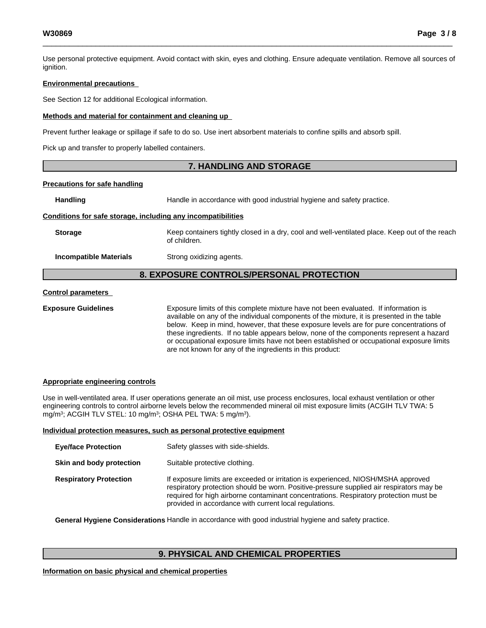Use personal protective equipment.Avoid contact with skin, eyes and clothing. Ensure adequate ventilation. Remove all sources of ignition.

#### **Environmental precautions**

See Section 12 for additional Ecological information.

#### **Methods and material for containment and cleaning up**

Prevent further leakage or spillage if safe to do so. Use inert absorbent materials to confine spills and absorb spill.

Pick up and transfer to properly labelled containers.

### **7. HANDLING AND STORAGE**

#### **Precautions for safe handling**

Handling **Handle** in accordance with good industrial hygiene and safety practice.

#### **Conditions for safe storage, including any incompatibilities**

**Storage** Keep containers tightly closed in a dry, cool and well-ventilated place. Keep out of the reach of children.

**Incompatible Materials** Strong oxidizing agents.

# **8. EXPOSURE CONTROLS/PERSONAL PROTECTION**

#### **Control parameters**

**Exposure Guidelines** Exposure limits of this complete mixture have not been evaluated. If information is available on any of the individual components of the mixture, it is presented in the table below. Keep in mind, however, that these exposure levels are for pure concentrations of these ingredients. If no table appears below, none of the components represent a hazard or occupational exposure limits have not been established or occupational exposure limits are not known for any of the ingredients in this product:

#### **Appropriate engineering controls**

Use in well-ventilated area. If user operations generate an oil mist, use process enclosures, local exhaust ventilation or other engineering controls to control airborne levels below the recommended mineral oil mist exposure limits (ACGIH TLV TWA: 5 mg/m3; ACGIH TLV STEL: 10 mg/m3; OSHA PEL TWA: 5 mg/m3).

#### **Individual protection measures, such as personal protective equipment**

| <b>Eye/face Protection</b>    | Safety glasses with side-shields.                                                                                                                                                                                                                                                                                                |
|-------------------------------|----------------------------------------------------------------------------------------------------------------------------------------------------------------------------------------------------------------------------------------------------------------------------------------------------------------------------------|
| Skin and body protection      | Suitable protective clothing.                                                                                                                                                                                                                                                                                                    |
| <b>Respiratory Protection</b> | If exposure limits are exceeded or irritation is experienced, NIOSH/MSHA approved<br>respiratory protection should be worn. Positive-pressure supplied air respirators may be<br>required for high airborne contaminant concentrations. Respiratory protection must be<br>provided in accordance with current local regulations. |

**General Hygiene Considerations** Handle in accordance with good industrial hygiene and safety practice.

# **9. PHYSICAL AND CHEMICAL PROPERTIES**

**Information on basic physical and chemical properties**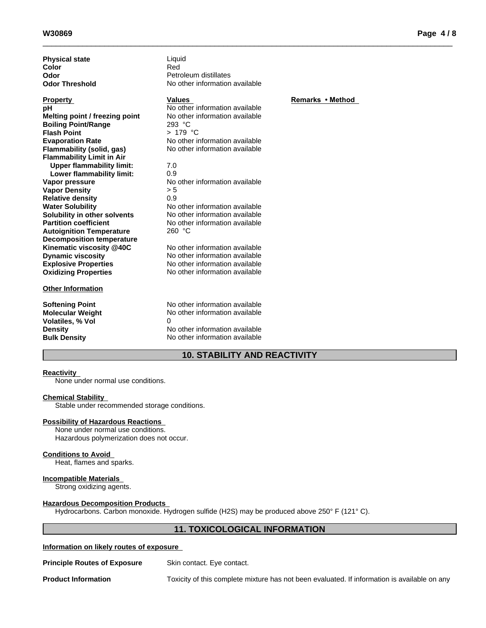| <b>Physical state</b><br>Color<br>Odor<br><b>Odor Threshold</b> | Liquid<br>Red<br>Petroleum distillates<br>No other information available |                  |
|-----------------------------------------------------------------|--------------------------------------------------------------------------|------------------|
| <b>Property</b>                                                 | <b>Values</b>                                                            | Remarks • Method |
| рH                                                              | No other information available                                           |                  |
| Melting point / freezing point                                  | No other information available                                           |                  |
| <b>Boiling Point/Range</b>                                      | 293 °C                                                                   |                  |
| <b>Flash Point</b>                                              | $>179$ °C                                                                |                  |
| <b>Evaporation Rate</b>                                         | No other information available                                           |                  |
| Flammability (solid, gas)                                       | No other information available                                           |                  |
| <b>Flammability Limit in Air</b>                                |                                                                          |                  |
| <b>Upper flammability limit:</b>                                | 7.0                                                                      |                  |
| Lower flammability limit:                                       | 0.9                                                                      |                  |
| Vapor pressure                                                  | No other information available                                           |                  |
| <b>Vapor Density</b>                                            | > 5                                                                      |                  |
| <b>Relative density</b>                                         | 0.9                                                                      |                  |
| <b>Water Solubility</b>                                         | No other information available                                           |                  |
| Solubility in other solvents                                    | No other information available                                           |                  |
| <b>Partition coefficient</b>                                    | No other information available                                           |                  |
| <b>Autoignition Temperature</b>                                 | 260 °C                                                                   |                  |
| <b>Decomposition temperature</b>                                |                                                                          |                  |
| Kinematic viscosity @40C                                        | No other information available                                           |                  |
| <b>Dynamic viscosity</b>                                        | No other information available                                           |                  |
| <b>Explosive Properties</b>                                     | No other information available                                           |                  |
| <b>Oxidizing Properties</b>                                     | No other information available                                           |                  |
| <b>Other Information</b>                                        |                                                                          |                  |
| <b>Softening Point</b>                                          | No other information available                                           |                  |
| <b>Molecular Weight</b>                                         | No other information available                                           |                  |
| <b>Volatiles, % Vol</b>                                         | 0                                                                        |                  |
| <b>Density</b>                                                  | No other information available                                           |                  |
| <b>Bulk Density</b>                                             | No other information available                                           |                  |

### **10. STABILITY AND REACTIVITY**

#### **Reactivity**

None under normal use conditions.

#### **Chemical Stability**

Stable under recommended storage conditions.

#### **Possibility of Hazardous Reactions**

None under normal use conditions. Hazardous polymerization does not occur.

#### **Conditions to Avoid**

Heat, flames and sparks.

#### **Incompatible Materials**

Strong oxidizing agents.

#### **Hazardous Decomposition Products**

Hydrocarbons. Carbon monoxide. Hydrogen sulfide (H2S) may be produced above 250° F (121° C).

# **11. TOXICOLOGICAL INFORMATION**

#### **Information on likely routes of exposure**

**Principle Routes of Exposure** Skin contact. Eye contact.

**Product Information** Toxicity of this complete mixture has not been evaluated. If information is available on any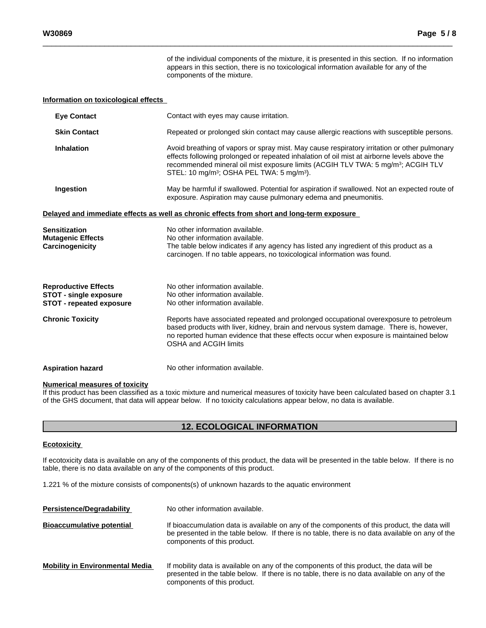of the individual components of the mixture, it is presented in this section. If no information appears in this section, there is no toxicological information available for any of the components of the mixture.

#### **Information on toxicological effects**

| <b>Eve Contact</b>                                                                              | Contact with eyes may cause irritation.                                                                                                                                                                                                                                                                                                                          |
|-------------------------------------------------------------------------------------------------|------------------------------------------------------------------------------------------------------------------------------------------------------------------------------------------------------------------------------------------------------------------------------------------------------------------------------------------------------------------|
| <b>Skin Contact</b>                                                                             | Repeated or prolonged skin contact may cause allergic reactions with susceptible persons.                                                                                                                                                                                                                                                                        |
| <b>Inhalation</b>                                                                               | Avoid breathing of vapors or spray mist. May cause respiratory irritation or other pulmonary<br>effects following prolonged or repeated inhalation of oil mist at airborne levels above the<br>recommended mineral oil mist exposure limits (ACGIH TLV TWA: 5 mg/m <sup>3</sup> ; ACGIH TLV<br>STEL: 10 mg/m <sup>3</sup> ; OSHA PEL TWA: 5 mg/m <sup>3</sup> ). |
| Ingestion                                                                                       | May be harmful if swallowed. Potential for aspiration if swallowed. Not an expected route of<br>exposure. Aspiration may cause pulmonary edema and pneumonitis.                                                                                                                                                                                                  |
|                                                                                                 | Delayed and immediate effects as well as chronic effects from short and long-term exposure                                                                                                                                                                                                                                                                       |
| Sensitization<br><b>Mutagenic Effects</b><br>Carcinogenicity                                    | No other information available.<br>No other information available.<br>The table below indicates if any agency has listed any ingredient of this product as a<br>carcinogen. If no table appears, no toxicological information was found.                                                                                                                         |
| <b>Reproductive Effects</b><br><b>STOT - single exposure</b><br><b>STOT - repeated exposure</b> | No other information available.<br>No other information available.<br>No other information available.                                                                                                                                                                                                                                                            |
| <b>Chronic Toxicity</b>                                                                         | Reports have associated repeated and prolonged occupational overexposure to petroleum<br>based products with liver, kidney, brain and nervous system damage. There is, however,<br>no reported human evidence that these effects occur when exposure is maintained below<br>OSHA and ACGIH limits                                                                |
| Aspiration hazard                                                                               | No other information available.                                                                                                                                                                                                                                                                                                                                  |

#### **Numerical measures of toxicity**

If this product has been classified as a toxic mixture and numerical measures of toxicity have been calculated based on chapter 3.1 of the GHS document, that data will appear below. If no toxicity calculations appear below, no data is available.

### **12. ECOLOGICAL INFORMATION**

#### **Ecotoxicity**

If ecotoxicity data is available on any of the components of this product, the data will be presented in the table below. If there is no table, there is no data available on any of the components of this product.

1.221 % of the mixture consists of components(s) of unknown hazards to the aquatic environment

| <b>Persistence/Degradability</b>       | No other information available.                                                                                                                                                                                                |
|----------------------------------------|--------------------------------------------------------------------------------------------------------------------------------------------------------------------------------------------------------------------------------|
| <b>Bioaccumulative potential</b>       | If bioaccumulation data is available on any of the components of this product, the data will<br>be presented in the table below. If there is no table, there is no data available on any of the<br>components of this product. |
| <b>Mobility in Environmental Media</b> | If mobility data is available on any of the components of this product, the data will be<br>presented in the table below. If there is no table, there is no data available on any of the<br>components of this product.        |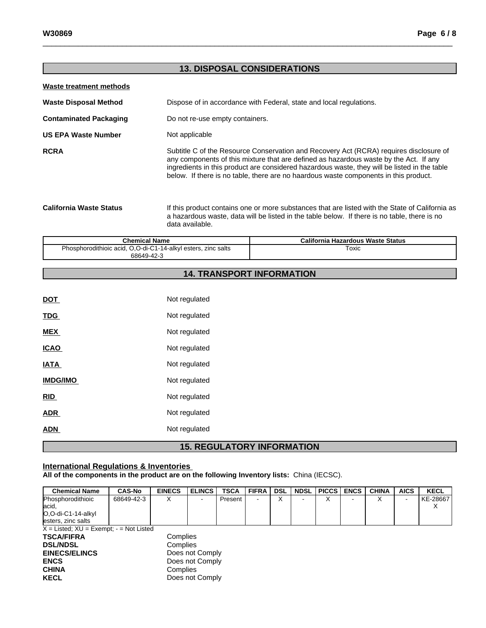# **13. DISPOSAL CONSIDERATIONS Waste treatment methods Waste Disposal Method** Dispose of in accordance with Federal, state and local regulations. **Contaminated Packaging Do not re-use empty containers. US EPA Waste Number** Not applicable **RCRA** Subtitle C of the Resource Conservation and Recovery Act (RCRA) requires disclosure of any components of this mixture that are defined as hazardous waste by the Act. If any ingredients in this product are considered hazardous waste, they will be listed in the table below. If there is no table, there are no haardous waste components in this product. **California Waste Status** If this product contains one or more substances that are listed with the State of California as a hazardous waste, data will be listed in the table below. If there isno table, there is no data available. **Chemical Name California Hazardous Waste Status** Phosphorodithioic acid, O,O-di-C1-14-alkyl esters, zinc salts 68649-42-3 Toxic **14. TRANSPORT INFORMATION**

| <b>DOT</b>      | Not regulated |  |
|-----------------|---------------|--|
| <b>TDG</b>      | Not regulated |  |
| <b>MEX</b>      | Not regulated |  |
| <b>ICAO</b>     | Not regulated |  |
| <b>IATA</b>     | Not regulated |  |
| <b>IMDG/IMO</b> | Not regulated |  |
| RID             | Not regulated |  |
| <b>ADR</b>      | Not regulated |  |
| <b>ADN</b>      | Not regulated |  |
|                 |               |  |

# **15. REGULATORY INFORMATION**

### **International Regulations & Inventories**

**All of the components in the product are on the following Inventory lists:** China (IECSC).

| <b>Chemical Name</b>                          | <b>CAS-No</b>   | <b>EINECS</b> | <b>ELINCS</b>   | <b>TSCA</b> | <b>FIFRA</b> | DSL | <b>NDSL</b> | PICCS | <b>ENCS</b> | <b>CHINA</b> | <b>AICS</b> | <b>KECL</b> |
|-----------------------------------------------|-----------------|---------------|-----------------|-------------|--------------|-----|-------------|-------|-------------|--------------|-------------|-------------|
| Phosphorodithioic                             | 68649-42-3      | X             |                 | Present I   |              | x   |             |       |             | ⌒            | -           | KE-28667    |
| lacid,                                        |                 |               |                 |             |              |     |             |       |             |              |             | X           |
| O,O-di-C1-14-alkyl                            |                 |               |                 |             |              |     |             |       |             |              |             |             |
| esters, zinc salts                            |                 |               |                 |             |              |     |             |       |             |              |             |             |
| $X =$ Listed; $XU =$ Exempt; $-$ = Not Listed |                 |               |                 |             |              |     |             |       |             |              |             |             |
| <b>TSCA/FIFRA</b>                             |                 | Complies      |                 |             |              |     |             |       |             |              |             |             |
| <b>DSL/NDSL</b>                               | Complies        |               |                 |             |              |     |             |       |             |              |             |             |
| <b>EINECS/ELINCS</b>                          | Does not Comply |               |                 |             |              |     |             |       |             |              |             |             |
| <b>ENCS</b>                                   |                 |               | Does not Comply |             |              |     |             |       |             |              |             |             |
| <b>CHINA</b>                                  |                 | Complies      |                 |             |              |     |             |       |             |              |             |             |
| <b>KECL</b>                                   | Does not Comply |               |                 |             |              |     |             |       |             |              |             |             |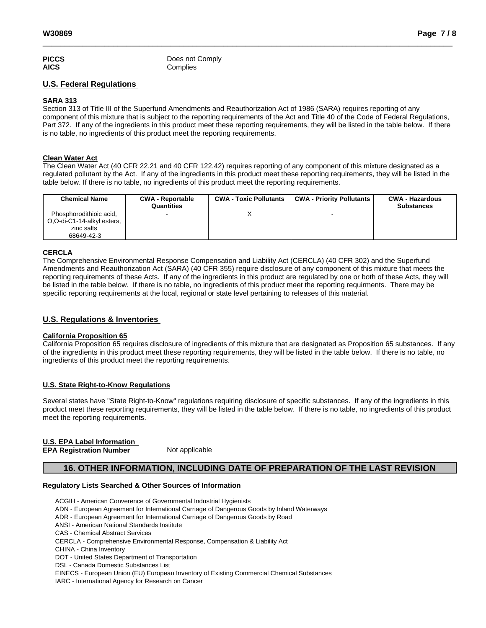| <b>PICCS</b> | Does not Comply |
|--------------|-----------------|
| <b>AICS</b>  | Complies        |

### **U.S. Federal Regulations**

#### **SARA 313**

Section 313 of Title III of the Superfund Amendments and Reauthorization Act of 1986 (SARA) requires reporting of any component of this mixture that is subject to the reporting requirements of the Act and Title 40 of the Code of Federal Regulations, Part 372. If any of the ingredients in this product meet these reporting requirements, they will be listed in the table below. If there is no table, no ingredients of this product meet the reporting requirements.

#### **Clean Water Act**

The Clean Water Act (40 CFR 22.21 and 40 CFR 122.42) requires reporting of any component of this mixture designated as a regulated pollutant by the Act. If any of the ingredients in this product meet these reporting requirements, they will be listed in the table below. If there is no table, no ingredients of this product meet the reporting requirements.

| <b>Chemical Name</b>                                                              | <b>CWA - Reportable</b><br>Quantities | <b>CWA - Toxic Pollutants</b> | <b>CWA - Priority Pollutants</b> | <b>CWA - Hazardous</b><br><b>Substances</b> |
|-----------------------------------------------------------------------------------|---------------------------------------|-------------------------------|----------------------------------|---------------------------------------------|
| Phosphorodithioic acid,<br>O,O-di-C1-14-alkyl esters,<br>zinc salts<br>68649-42-3 |                                       |                               |                                  |                                             |

#### **CERCLA**

The Comprehensive Environmental Response Compensation and Liability Act(CERCLA) (40 CFR 302) and the Superfund Amendments and Reauthorization Act (SARA) (40 CFR 355) require disclosure of any component of this mixture that meets the reporting requirements of these Acts. If any of the ingredients in this product are regulated by one or both of these Acts, they will be listed in the table below. If there is no table, no ingredients of this product meet the reporting requirments. There may be specific reporting requirements at the local, regional or state level pertaining to releases of this material.

### **U.S. Regulations & Inventories**

#### **California Proposition 65**

California Proposition 65 requires disclosure of ingredients of this mixture that are designated as Proposition 65 substances. If any of the ingredients in this product meet these reporting requirements, they will be listed in the table below. If there is no table, no ingredients of this product meet the reporting requirements.

#### **U.S. State Right-to-Know Regulations**

Several states have "State Right-to-Know" regulations requiring disclosure of specific substances. If any of the ingredients in this product meet these reporting requirements, they will be listed in the table below. If there is no table, no ingredients of this product meet the reporting requirements.

#### **U.S. EPA Label Information EPA** Registration Number

# **16. OTHER INFORMATION, INCLUDING DATE OF PREPARATION OF THE LAST REVISION**

#### **Regulatory Lists Searched & Other Sources of Information**

ACGIH - American Converence of Governmental Industrial Hygienists

- ADN European Agreement for International Carriage of Dangerous Goods by Inland Waterways
- ADR European Agreement for International Carriage of Dangerous Goods by Road
- ANSI American National Standards Institute
- CAS Chemical Abstract Services
- CERCLA Comprehensive Environmental Response, Compensation & Liability Act
- CHINA China Inventory
- DOT United States Department of Transportation
- DSL Canada Domestic Substances List

EINECS - European Union (EU) European Inventory of Existing Commercial Chemical Substances

IARC - International Agency for Research on Cancer